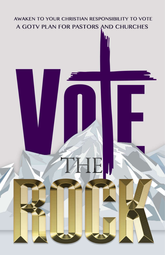# AWAKEN TO YOUR CHRISTIAN RESPONSIBILITY TO VOTE A GOTV PLAN FOR PASTORS AND CHURCHES

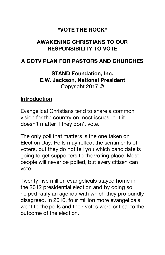#### **"VOTE THE ROCK"**

### **AWAKENING CHRISTIANS TO OUR RESPONSIBILITY TO VOTE**

#### **A GOTV PLAN FOR PASTORS AND CHURCHES**

**STAND Foundation, Inc. E.W. Jackson, National President** Copyright 2017 ©

#### **Introduction**

Evangelical Christians tend to share a common vision for the country on most issues, but it doesn't matter if they don't vote.

The only poll that matters is the one taken on Election Day. Polls may reflect the sentiments of voters, but they do not tell you which candidate is going to get supporters to the voting place. Most people will never be polled, but every citizen can vote.

Twenty-five million evangelicals stayed home in the 2012 presidential election and by doing so helped ratify an agenda with which they profoundly disagreed. In 2016, four million more evangelicals went to the polls and their votes were critical to the outcome of the election.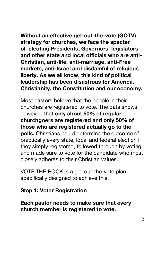**Without an effective get-out-the-vote (GOTV) strategy for churches, we face the specter of electing Presidents, Governors, legislators and other state and local officials who are anti-Christian, anti-life, anti-marriage, anti-Free markets, anti-Israel and disdainful of religious liberty. As we all know, this kind of political leadership has been disastrous for America, Christianity, the Constitution and our economy.**

Most pastors believe that the people in their churches are registered to vote. The data shows however, that **only about 50% of regular churchgoers are registered and only 50% of those who are registered actually go to the polls.** Christians could determine the outcome of practically every state, local and federal election if they simply registered, followed through by voting and made sure to vote for the candidate who most closely adheres to their Christian values.

VOTE THE ROCK is a get-out-the-vote plan specifically designed to achieve this.

#### **Step 1: Voter Registration**

**Each pastor needs to make sure that every church member is registered to vote.**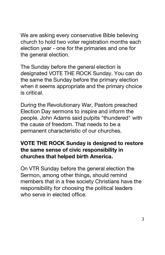We are asking every conservative Bible believing church to hold two voter registration months each election year - one for the primaries and one for the general election.

The Sunday before the general election is designated VOTE THE ROCK Sunday. You can do the same the Sunday before the primary election when it seems appropriate and the primary choice is critical.

During the Revolutionary War, Pastors preached Election Day sermons to inspire and inform the people. John Adams said pulpits "thundered" with the cause of freedom. That needs to be a permanent characteristic of our churches.

#### **VOTE THE ROCK Sunday is designed to restore the same sense of civic responsibility in churches that helped birth America.**

On VTR Sunday before the general election the Sermon, among other things, should remind members that in a free society Christians have the responsibility for choosing the political leaders who serve in elected office.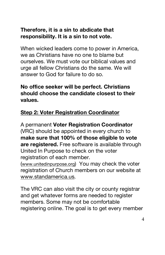### **Therefore, it is a sin to abdicate that responsibility. It is a sin to not vote.**

When wicked leaders come to power in America, we as Christians have no one to blame but ourselves. We must vote our biblical values and urge all fellow Christians do the same. We will answer to God for failure to do so.

#### **No office seeker will be perfect. Christians should choose the candidate closest to their values.**

## **Step 2: Voter Registration Coordinator**

A permanent **Voter Registration Coordinator** (VRC) should be appointed in every church to **make sure that 100% of those eligible to vote are registered.** Free software is available through United In Purpose to check on the voter registration of each member.

(www.unitedinpurpose.org) You may check the voter registration of Church members on our website at www.standamerica.us.

The VRC can also visit the city or county registrar and get whatever forms are needed to register members. Some may not be comfortable registering online. The goal is to get every member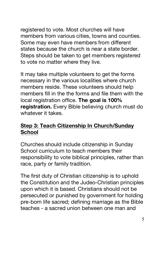registered to vote. Most churches will have members from various cities, towns and counties. Some may even have members from different states because the church is near a state border. Steps should be taken to get members registered to vote no matter where they live.

It may take multiple volunteers to get the forms necessary in the various localities where church members reside. These volunteers should help members fill in the the forms and file them with the local registration office. **The goal is 100% registration.** Every Bible believing church must do whatever it takes.

#### **Step 3: Teach Citizenship In Church/Sunday School**

Churches should include citizenship in Sunday School curriculum to teach members their responsibility to vote biblical principles, rather than race, party or family tradition.

The first duty of Christian citizenship is to uphold the Constitution and the Judeo-Christian principles upon which it is based. Christians should not be persecuted or punished by government for holding pre-born life sacred; defining marriage as the Bible teaches - a sacred union between one man and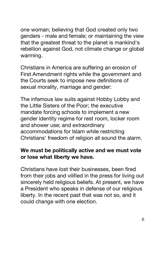one woman; believing that God created only two genders - male and female; or maintaining the view that the greatest threat to the planet is mankind's rebellion against God, not climate change or global warming.

Christians in America are suffering an erosion of First Amendment rights while the government and the Courts seek to impose new definitions of sexual morality, marriage and gender:

The infamous law suits against Hobby Lobby and the Little Sisters of the Poor; the executive mandate forcing schools to implement a new gender identity regime for rest room, locker room and shower use; and extraordinary accommodations for Islam while restricting Christians' freedom of religion all sound the alarm.

#### **We must be politically active and we must vote or lose what liberty we have.**

Christians have lost their businesses, been fired from their jobs and vilified in the press for living out sincerely held religious beliefs. At present, we have a President who speaks in defense of our religious liberty. In the recent past that was not so, and it could change with one election.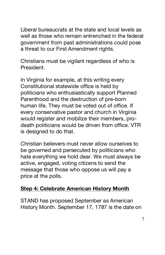Liberal bureaucrats at the state and local levels as well as those who remain entrenched in the federal government from past administrations could pose a threat to our First Amendment rights.

Christians must be vigilant regardless of who is President.

In Virginia for example, at this writing every Constitutional statewide office is held by politicians who enthusiastically support Planned Parenthood and the destruction of pre-born human life. They must be voted out of office. If every conservative pastor and church in Virginia would register and mobilize their members, prodeath politicians would be driven from office. VTR is designed to do that.

Christian believers must never allow ourselves to be governed and persecuted by politicians who hate everything we hold dear. We must always be active, engaged, voting citizens to send the message that those who oppose us will pay a price at the polls.

#### **Step 4: Celebrate American History Month**

STAND has proposed September as American History Month. September 17, 1787 is the date on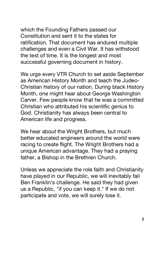which the Founding Fathers passed our Constitution and sent it to the states for ratification. That document has endured multiple challenges and even a Civil War. It has withstood the test of time. It is the longest and most successful governing document in history.

We urge every VTR Church to set aside September as American History Month and teach the Judeo-Christian history of our nation. During black History Month, one might hear about George Washington Carver. Few people know that he was a committed Christian who attributed his scientific genius to God. Christianity has always been central to American life and progress.

We hear about the Wright Brothers, but much better educated engineers around the world were racing to create flight. The Wright Brothers had a unique American advantage. They had a praying father, a Bishop in the Brethren Church.

Unless we appreciate the role faith and Christianity have played in our Republic, we will inevitably fail Ben Franklin's challenge. He said they had given us a Republic, "if you can keep it." If we do not participate and vote, we will surely lose it.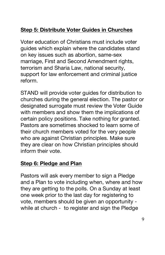# **Step 5: Distribute Voter Guides in Churches**

Voter education of Christians must include voter guides which explain where the candidates stand on key issues such as abortion, same-sex marriage, First and Second Amendment rights, terrorism and Sharia Law, national security, support for law enforcement and criminal justice reform.

STAND will provide voter guides for distribution to churches during the general election. The pastor or designated surrogate must review the Voter Guide with members and show them the implications of certain policy positions. Take nothing for granted. Pastors are sometimes shocked to learn some of their church members voted for the very people who are against Christian principles. Make sure they are clear on how Christian principles should inform their vote.

#### **Step 6: Pledge and Plan**

Pastors will ask every member to sign a Pledge and a Plan to vote including when, where and how they are getting to the polls. On a Sunday at least one week prior to the last day for registering to vote, members should be given an opportunity while at church - to register and sign the Pledge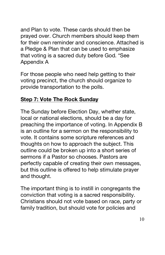and Plan to vote. These cards should then be prayed over. Church members should keep them for their own reminder and conscience. Attached is a Pledge & Plan that can be used to emphasize that voting is a sacred duty before God. \*See Appendix A

For those people who need help getting to their voting precinct, the church should organize to provide transportation to the polls.

### **Step 7: Vote The Rock Sunday**

The Sunday before Election Day, whether state, local or national elections, should be a day for preaching the importance of voting. In Appendix B is an outline for a sermon on the responsibility to vote. It contains some scripture references and thoughts on how to approach the subject. This outline could be broken up into a short series of sermons if a Pastor so chooses. Pastors are perfectly capable of creating their own messages, but this outline is offered to help stimulate prayer and thought.

The important thing is to instill in congregants the conviction that voting is a sacred responsibility. Christians should not vote based on race, party or family tradition, but should vote for policies and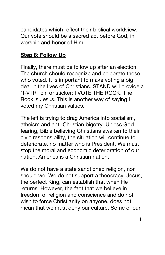candidates which reflect their biblical worldview. Our vote should be a sacred act before God, in worship and honor of Him.

#### **Step 8: Follow Up**

Finally, there must be follow up after an election. The church should recognize and celebrate those who voted. It is important to make voting a big deal in the lives of Christians. STAND will provide a "I-VTR" pin or sticker: I VOTE THE ROCK. The Rock is Jesus. This is another way of saying I voted my Christian values.

The left is trying to drag America into socialism, atheism and anti-Christian bigotry. Unless God fearing, Bible believing Christians awaken to their civic responsibility, the situation will continue to deteriorate, no matter who is President. We must stop the moral and economic deterioration of our nation. America is a Christian nation.

We do not have a state sanctioned religion, nor should we. We do not support a theocracy. Jesus, the perfect King, can establish that when He returns. However, the fact that we believe in freedom of religion and conscience and do not wish to force Christianity on anyone, does not mean that we must deny our culture. Some of our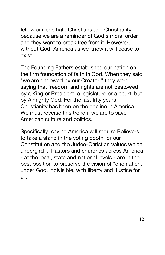fellow citizens hate Christians and Christianity because we are a reminder of God's moral order and they want to break free from it. However, without God, America as we know it will cease to exist.

The Founding Fathers established our nation on the firm foundation of faith in God. When they said "we are endowed by our Creator," they were saying that freedom and rights are not bestowed by a King or President, a legislature or a court, but by Almighty God. For the last fifty years Christianity has been on the decline in America. We must reverse this trend if we are to save American culture and politics.

Specifically, saving America will require Believers to take a stand in the voting booth for our Constitution and the Judeo-Christian values which undergird it. Pastors and churches across America - at the local, state and national levels - are in the best position to preserve the vision of "one nation, under God, indivisible, with liberty and Justice for all."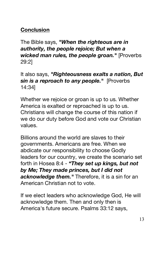## **Conclusion**

The Bible says, *"When the righteous are in authority, the people rejoice; But when a wicked man rules, the people groan."* [Proverbs 29:2]

#### It also says, *"Righteousness exalts a nation, But sin is a reproach to any people."* [Proverbs 14:34]

Whether we rejoice or groan is up to us. Whether America is exalted or reproached is up to us. Christians will change the course of this nation if we do our duty before God and vote our Christian values.

Billions around the world are slaves to their governments. Americans are free. When we abdicate our responsibility to choose Godly leaders for our country, we create the scenario set forth in Hosea 8:4 - *"They set up kings, but not by Me; They made princes, but I did not acknowledge them."* Therefore, it is a sin for an American Christian not to vote.

If we elect leaders who acknowledge God, He will acknowledge them. Then and only then is America's future secure. Psalms 33:12 says,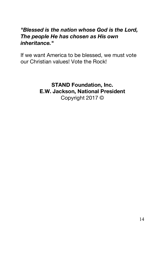#### *"Blessed is the nation whose God is the Lord, The people He has chosen as His own inheritance."*

If we want America to be blessed, we must vote our Christian values! Vote the Rock!

> **STAND Foundation, Inc. E.W. Jackson, National President** Copyright 2017 ©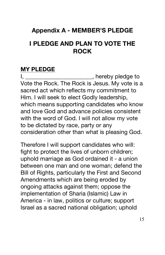# **Appendix A - MEMBER'S PLEDGE**

# **I PLEDGE AND PLAN TO VOTE THE ROCK**

#### **MY PLEDGE**

I, \_\_\_\_\_\_\_\_\_\_\_\_\_\_\_\_\_\_\_\_\_\_\_\_\_, hereby pledge to Vote the Rock. The Rock is Jesus. My vote is a sacred act which reflects my commitment to Him. I will seek to elect Godly leadership, which means supporting candidates who know and love God and advance policies consistent with the word of God. I will not allow my vote to be dictated by race, party or any consideration other than what is pleasing God.

Therefore I will support candidates who will: fight to protect the lives of unborn children; uphold marriage as God ordained it - a union between one man and one woman; defend the Bill of Rights, particularly the First and Second Amendments which are being eroded by ongoing attacks against them; oppose the implementation of Sharia (Islamic) Law in America - in law, politics or culture; support Israel as a sacred national obligation; uphold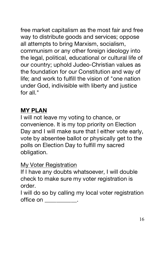free market capitalism as the most fair and free way to distribute goods and services; oppose all attempts to bring Marxism, socialism, communism or any other foreign ideology into the legal, political, educational or cultural life of our country; uphold Judeo-Christian values as the foundation for our Constitution and way of life; and work to fulfill the vision of "one nation under God, indivisible with liberty and justice for all."

# **MY PLAN**

I will not leave my voting to chance, or convenience. It is my top priority on Election Day and I will make sure that I either vote early, vote by absentee ballot or physically get to the polls on Election Day to fulfill my sacred obligation.

# My Voter Registration

If I have any doubts whatsoever, I will double check to make sure my voter registration is order.

I will do so by calling my local voter registration office on \_\_\_\_\_\_\_\_\_\_.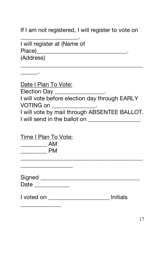If I am not registered, I will register to vote on

I will register at (Name of Place)\_\_\_\_\_\_\_\_\_\_\_\_\_\_\_\_\_\_\_\_\_\_\_\_\_\_\_\_\_\_\_. (Address)

\_\_\_\_\_\_\_\_\_\_\_\_\_\_\_\_\_\_\_\_.

\_\_\_\_\_\_.

Date I Plan To Vote: Election Day \_\_\_\_\_\_\_\_\_\_\_\_\_\_\_\_\_. I will vote before election day through EARLY VOTING on \_\_\_\_\_\_\_\_\_\_\_\_\_\_. I will vote by mail through ABSENTEE BALLOT. I will send in the ballot on \_\_\_\_\_\_\_\_\_\_\_\_\_\_\_\_\_\_

Time I Plan To Vote: \_\_\_\_\_\_\_\_\_ AM \_\_\_\_\_\_\_\_\_ PM

\_\_\_\_\_\_\_\_\_\_\_\_\_\_\_\_\_\_

\_\_\_\_\_\_\_\_\_\_\_\_\_\_

Signed **and a structure of the structure of the structure of the structure of the structure of the structure of the structure of the structure of the structure of the structure of the structure of the structure of the stru** Date \_\_\_\_\_\_\_\_\_\_\_\_

\_\_\_\_\_\_\_\_\_\_\_\_\_\_\_\_\_\_\_\_\_\_\_\_\_\_\_\_\_\_\_\_\_\_\_\_\_\_\_\_\_\_

I voted on \_\_\_\_\_\_\_\_\_\_\_\_\_\_\_\_\_\_\_\_\_ Initials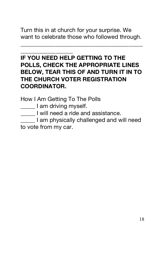Turn this in at church for your surprise. We want to celebrate those who followed through.

\_\_\_\_\_\_\_\_\_\_\_\_\_\_\_\_\_\_\_\_\_\_\_\_\_\_\_\_\_\_\_\_\_\_\_\_\_\_\_\_\_\_

## \_\_\_\_\_\_\_\_\_\_\_\_\_\_\_\_\_\_ **IF YOU NEED HELP GETTING TO THE POLLS, CHECK THE APPROPRIATE LINES BELOW, TEAR THIS OF AND TURN IT IN TO THE CHURCH VOTER REGISTRATION COORDINATOR.**

How I Am Getting To The Polls

**\_\_\_\_\_** I am driving myself.

**\_\_\_\_\_** I will need a ride and assistance.

\_\_\_\_\_ I am physically challenged and will need to vote from my car.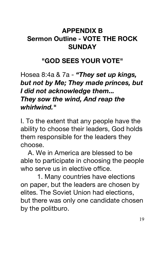# **APPENDIX B Sermon Outline - VOTE THE ROCK SUNDAY**

# **"GOD SEES YOUR VOTE"**

Hosea 8:4a & 7a - *"They set up kings, but not by Me; They made princes, but I did not acknowledge them... They sow the wind, And reap the whirlwind."*

I. To the extent that any people have the ability to choose their leaders, God holds them responsible for the leaders they choose.

 A. We in America are blessed to be able to participate in choosing the people who serve us in elective office.

 1. Many countries have elections on paper, but the leaders are chosen by elites. The Soviet Union had elections, but there was only one candidate chosen by the politburo.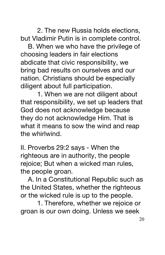2. The new Russia holds elections, but Vladimir Putin is in complete control.

 B. When we who have the privilege of choosing leaders in fair elections abdicate that civic responsibility, we bring bad results on ourselves and our nation. Christians should be especially diligent about full participation.

 1. When we are not diligent about that responsibility, we set up leaders that God does not acknowledge because they do not acknowledge Him. That is what it means to sow the wind and reap the whirlwind.

II. Proverbs 29:2 says - When the righteous are in authority, the people rejoice; But when a wicked man rules, the people groan.

 A. In a Constitutional Republic such as the United States, whether the righteous or the wicked rule is up to the people.

 1. Therefore, whether we rejoice or groan is our own doing. Unless we seek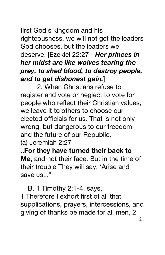# first God's kingdom and his righteousness, we will not get the leaders God chooses, but the leaders we deserve. [Ezekiel 22:27 - *Her princes in her midst are like wolves tearing the prey, to shed blood, to destroy people, and to get dishonest gain.*]

 2. When Christians refuse to register and vote or neglect to vote for people who reflect their Christian values, we leave it to others to choose our elected officials for us. That is not only wrong, but dangerous to our freedom and the future of our Republic. (a) Jeremiah 2:27

..**For they have turned their back to Me,** and not their face. But in the time of their trouble They will say, 'Arise and save us..."

 B. 1 Timothy 2:1-4, says, 1 Therefore I exhort first of all that supplications, prayers, intercessions, and giving of thanks be made for all men, 2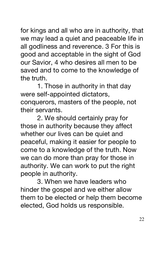for kings and all who are in authority, that we may lead a quiet and peaceable life in all godliness and reverence. 3 For this is good and acceptable in the sight of God our Savior, 4 who desires all men to be saved and to come to the knowledge of the truth.

 1. Those in authority in that day were self-appointed dictators, conquerors, masters of the people, not their servants.

 2. We should certainly pray for those in authority because they affect whether our lives can be quiet and peaceful, making it easier for people to come to a knowledge of the truth. Now we can do more than pray for those in authority. We can work to put the right people in authority.

 3. When we have leaders who hinder the gospel and we either allow them to be elected or help them become elected, God holds us responsible.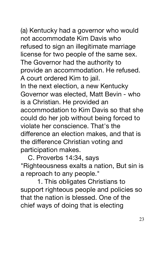(a) Kentucky had a governor who would not accommodate Kim Davis who refused to sign an illegitimate marriage license for two people of the same sex. The Governor had the authority to provide an accommodation. He refused. A court ordered Kim to jail. In the next election, a new Kentucky Governor was elected, Matt Bevin - who is a Christian. He provided an accommodation to Kim Davis so that she could do her job without being forced to violate her conscience. That's the difference an election makes, and that is the difference Christian voting and participation makes.

 C. Proverbs 14:34, says "Righteousness exalts a nation, But sin is a reproach to any people."

 1. This obligates Christians to support righteous people and policies so that the nation is blessed. One of the chief ways of doing that is electing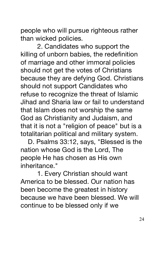people who will pursue righteous rather than wicked policies.

 2. Candidates who support the killing of unborn babies, the redefinition of marriage and other immoral policies should not get the votes of Christians because they are defying God. Christians should not support Candidates who refuse to recognize the threat of Islamic Jihad and Sharia law or fail to understand that Islam does not worship the same God as Christianity and Judaism, and that it is not a "religion of peace" but is a totalitarian political and military system.

 D. Psalms 33:12, says, "Blessed is the nation whose God is the Lord, The people He has chosen as His own inheritance."

 1. Every Christian should want America to be blessed. Our nation has been become the greatest in history because we have been blessed. We will continue to be blessed only if we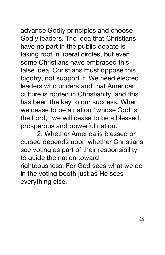advance Godly principles and choose Godly leaders. The idea that Christians have no part in the public debate is taking root in liberal circles, but even some Christians have embraced this false idea. Christians must oppose this bigotry, not support it. We need elected leaders who understand that American culture is rooted in Christianity, and this has been the key to our success. When we cease to be a nation "whose God is the Lord," we will cease to be a blessed, prosperous and powerful nation.

 2. Whether America is blessed or cursed depends upon whether Christians see voting as part of their responsibility to guide the nation toward righteousness. For God sees what we do in the voting booth just as He sees everything else.